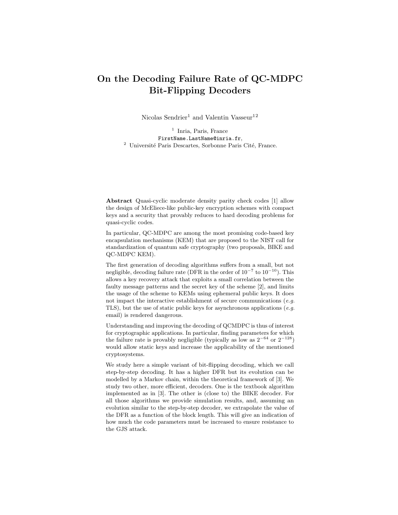# On the Decoding Failure Rate of QC-MDPC Bit-Flipping Decoders

Nicolas Sendrier<sup>1</sup> and Valentin Vasseur<sup>12</sup>

<sup>1</sup> Inria, Paris, France FirstName.LastName@inria.fr,  $2$  Université Paris Descartes, Sorbonne Paris Cité, France.

Abstract Quasi-cyclic moderate density parity check codes [1] allow the design of McEliece-like public-key encryption schemes with compact keys and a security that provably reduces to hard decoding problems for quasi-cyclic codes.

In particular, QC-MDPC are among the most promising code-based key encapsulation mechanisms (KEM) that are proposed to the NIST call for standardization of quantum safe cryptography (two proposals, BIKE and QC-MDPC KEM).

The first generation of decoding algorithms suffers from a small, but not negligible, decoding failure rate (DFR in the order of  $10^{-7}$  to  $10^{-10}$ ). This allows a key recovery attack that exploits a small correlation between the faulty message patterns and the secret key of the scheme [2], and limits the usage of the scheme to KEMs using ephemeral public keys. It does not impact the interactive establishment of secure communications  $(e.g.,)$ TLS), but the use of static public keys for asynchronous applications  $(e.g.$ email) is rendered dangerous.

Understanding and improving the decoding of QCMDPC is thus of interest for cryptographic applications. In particular, finding parameters for which the failure rate is provably negligible (typically as low as  $2^{-64}$  or  $2^{-128}$ ) would allow static keys and increase the applicability of the mentioned cryptosystems.

We study here a simple variant of bit-flipping decoding, which we call step-by-step decoding. It has a higher DFR but its evolution can be modelled by a Markov chain, within the theoretical framework of [3]. We study two other, more efficient, decoders. One is the textbook algorithm implemented as in [3]. The other is (close to) the BIKE decoder. For all those algorithms we provide simulation results, and, assuming an evolution similar to the step-by-step decoder, we extrapolate the value of the DFR as a function of the block length. This will give an indication of how much the code parameters must be increased to ensure resistance to the GJS attack.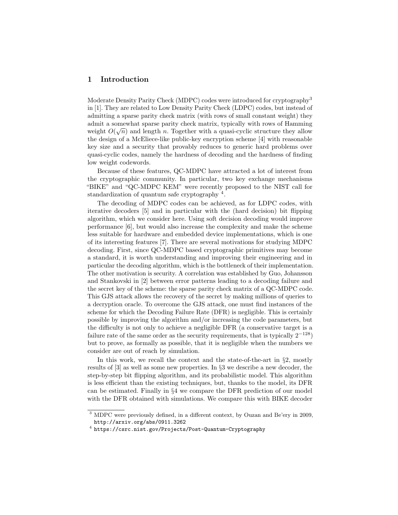## 1 Introduction

Moderate Density Parity Check (MDPC) codes were introduced for cryptography<sup>3</sup> in [1]. They are related to Low Density Parity Check (LDPC) codes, but instead of admitting a sparse parity check matrix (with rows of small constant weight) they admit a somewhat sparse parity check matrix, typically with rows of Hamming weight  $O(\sqrt{n})$  and length n. Together with a quasi-cyclic structure they allow the design of a McEliece-like public-key encryption scheme [4] with reasonable key size and a security that provably reduces to generic hard problems over quasi-cyclic codes, namely the hardness of decoding and the hardness of finding low weight codewords.

Because of these features, QC-MDPC have attracted a lot of interest from the cryptographic community. In particular, two key exchange mechanisms "BIKE" and "QC-MDPC KEM" were recently proposed to the NIST call for standardization of quantum safe cryptography<sup>4</sup>.

The decoding of MDPC codes can be achieved, as for LDPC codes, with iterative decoders [5] and in particular with the (hard decision) bit flipping algorithm, which we consider here. Using soft decision decoding would improve performance [6], but would also increase the complexity and make the scheme less suitable for hardware and embedded device implementations, which is one of its interesting features [7]. There are several motivations for studying MDPC decoding. First, since QC-MDPC based cryptographic primitives may become a standard, it is worth understanding and improving their engineering and in particular the decoding algorithm, which is the bottleneck of their implementation. The other motivation is security. A correlation was established by Guo, Johansson and Stankovski in [2] between error patterns leading to a decoding failure and the secret key of the scheme: the sparse parity check matrix of a QC-MDPC code. This GJS attack allows the recovery of the secret by making millions of queries to a decryption oracle. To overcome the GJS attack, one must find instances of the scheme for which the Decoding Failure Rate (DFR) is negligible. This is certainly possible by improving the algorithm and/or increasing the code parameters, but the difficulty is not only to achieve a negligible DFR (a conservative target is a failure rate of the same order as the security requirements, that is typically  $2^{-128}$ ) but to prove, as formally as possible, that it is negligible when the numbers we consider are out of reach by simulation.

In this work, we recall the context and the state-of-the-art in §2, mostly results of [3] as well as some new properties. In §3 we describe a new decoder, the step-by-step bit flipping algorithm, and its probabilistic model. This algorithm is less efficient than the existing techniques, but, thanks to the model, its DFR can be estimated. Finally in §4 we compare the DFR prediction of our model with the DFR obtained with simulations. We compare this with BIKE decoder

<sup>3</sup> MDPC were previously defined, in a different context, by Ouzan and Be'ery in 2009, http://arxiv.org/abs/0911.3262

<sup>4</sup> https://csrc.nist.gov/Projects/Post-Quantum-Cryptography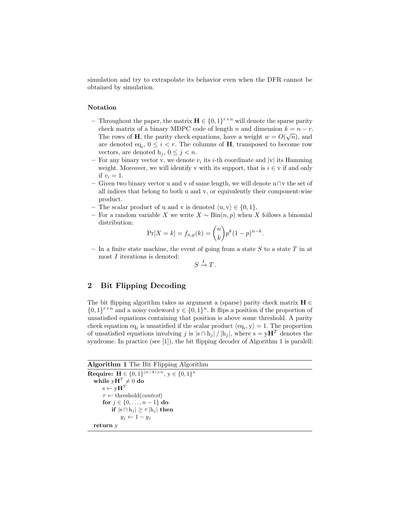simulation and try to extrapolate its behavior even when the DFR cannot be obtained by simulation.

#### Notation

- Throughout the paper, the matrix  $\mathbf{H} \in \{0,1\}^{r \times n}$  will denote the sparse parity check matrix of a binary MDPC code of length n and dimension  $k = n - r$ . The rows of **H**, the parity check equations, have a weight  $w = O(\sqrt{n})$ , and are denoted eq<sub>i</sub>,  $0 \le i < r$ . The columns of **H**, transposed to become row vectors, are denoted h<sub>i</sub>,  $0 \leq j \leq n$ .
- For any binary vector v, we denote  $v_i$  its *i*-th coordinate and  $|v|$  its Hamming weight. Moreover, we will identify v with its support, that is  $i \in V$  if and only if  $v_i = 1$ .
- Given two binary vector u and v of same length, we will denote u∩v the set of all indices that belong to both u and v, or equivalently their component-wise product.
- The scalar product of u and v is denoted  $\langle u, v \rangle \in \{0, 1\}.$
- For a random variable X we write  $X \sim Bin(n, p)$  when X follows a binomial distribution:

$$
\Pr[X = k] = f_{n,p}(k) = \binom{n}{k} p^k (1-p)^{n-k}.
$$

– In a finite state machine, the event of going from a state  $S$  to a state  $T$  in at most I iterations is denoted:

 $S \stackrel{I}{\rightarrow} T$ .

# 2 Bit Flipping Decoding

The bit flipping algorithm takes as argument a (sparse) parity check matrix  $\mathbf{H} \in$  $\{0,1\}^{r \times n}$  and a noisy codeword  $y \in \{0,1\}^n$ . It flips a position if the proportion of unsatisfied equations containing that position is above some threshold. A parity check equation eq<sub>i</sub> is unsatisfied if the scalar product  $\langle eq_i, y \rangle = 1$ . The proportion of unsatisfied equations involving j is  $|s \cap h_i| / |h_i|$ , where  $s = yH^T$  denotes the syndrome. In practice (see [1]), the bit flipping decoder of Algorithm 1 is paralell:

Algorithm 1 The Bit Flipping Algorithm

```
Require: \mathbf{H} \in \{0,1\}^{(n-k)\times n}, \, \mathbf{y} \in \{0,1\}^nwhile yH^T\neq 0 do
\mathrm{s} \leftarrow \mathrm{y}\mathbf{H}^T\tau \leftarrow \text{threshold}(context)for j \in \{0, ..., n-1\} do
     if |s \cap h_j| \geq \tau |h_j| then
           y_i \leftarrow 1 - y_ireturn y
```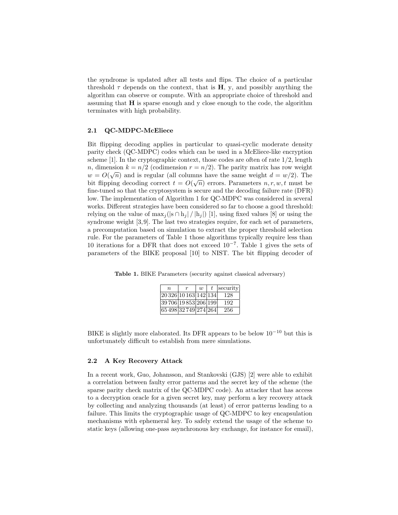the syndrome is updated after all tests and flips. The choice of a particular threshold  $\tau$  depends on the context, that is **H**, y, and possibly anything the algorithm can observe or compute. With an appropriate choice of threshold and assuming that H is sparse enough and y close enough to the code, the algorithm terminates with high probability.

#### 2.1 QC-MDPC-McEliece

Bit flipping decoding applies in particular to quasi-cyclic moderate density parity check (QC-MDPC) codes which can be used in a McEliece-like encryption scheme  $[1]$ . In the cryptographic context, those codes are often of rate  $1/2$ , length *n*, dimension  $k = n/2$  (codimension  $r = n/2$ ). The parity matrix has row weight  $w = O(\sqrt{n})$  and is regular (all columns have the same weight  $d = w/2$ ). The bit flipping decoding correct  $t = O(\sqrt{n})$  errors. Parameters  $n, r, w, t$  must be fine-tuned so that the cryptosystem is secure and the decoding failure rate (DFR) low. The implementation of Algorithm 1 for QC-MDPC was considered in several works. Different strategies have been considered so far to choose a good threshold: relying on the value of  $\max_i (|s \cap h_i| / |h_i|)$  [1], using fixed values [8] or using the syndrome weight [3,9]. The last two strategies require, for each set of parameters, a precomputation based on simulation to extract the proper threshold selection rule. For the parameters of Table 1 those algorithms typically require less than 10 iterations for a DFR that does not exceed  $10^{-7}$ . Table 1 gives the sets of parameters of the BIKE proposal [10] to NIST. The bit flipping decoder of

Table 1. BIKE Parameters (security against classical adversary)

| $n_{\cdot}$                 | $\overline{u}$ | Τ. | security |  |
|-----------------------------|----------------|----|----------|--|
| $ 20\,326 10\,163 142 134 $ |                |    | 128      |  |
| $ 39\,706 19\,853 206 199 $ |                |    | 192      |  |
| 6549832749274264            |                |    | 256      |  |

BIKE is slightly more elaborated. Its DFR appears to be below  $10^{-10}$  but this is unfortunately difficult to establish from mere simulations.

#### 2.2 A Key Recovery Attack

In a recent work, Guo, Johansson, and Stankovski (GJS) [2] were able to exhibit a correlation between faulty error patterns and the secret key of the scheme (the sparse parity check matrix of the QC-MDPC code). An attacker that has access to a decryption oracle for a given secret key, may perform a key recovery attack by collecting and analyzing thousands (at least) of error patterns leading to a failure. This limits the cryptographic usage of QC-MDPC to key encapsulation mechanisms with ephemeral key. To safely extend the usage of the scheme to static keys (allowing one-pass asynchronous key exchange, for instance for email),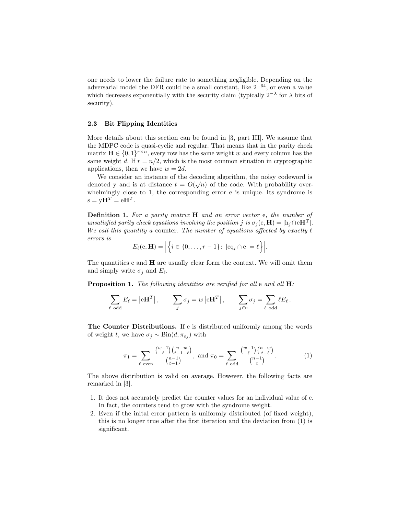one needs to lower the failure rate to something negligible. Depending on the adversarial model the DFR could be a small constant, like  $2^{-64}$ , or even a value which decreases exponentially with the security claim (typically  $2^{-\lambda}$  for  $\lambda$  bits of security).

## 2.3 Bit Flipping Identities

More details about this section can be found in [3, part III]. We assume that the MDPC code is quasi-cyclic and regular. That means that in the parity check matrix  $\mathbf{H} \in \{0,1\}^{r \times n}$ , every row has the same weight w and every column has the same weight d. If  $r = n/2$ , which is the most common situation in cryptographic applications, then we have  $w = 2d$ .

We consider an instance of the decoding algorithm, the noisy codeword is denoted y and is at distance  $t = O(\sqrt{n})$  of the code. With probability overwhelmingly close to 1, the corresponding error e is unique. Its syndrome is  $\mathbf{s} = \mathbf{y} \mathbf{H}^T = \mathbf{e} \mathbf{H}^T$ .

**Definition 1.** For a parity matrix  $H$  and an error vector  $e$ , the number of unsatisfied parity check equations involving the position j is  $\sigma_i(e, H) = |h_i \cap eH^T|$ . We call this quantity a counter. The number of equations affected by exactly  $\ell$ errors is

$$
E_{\ell}(e, \mathbf{H}) = \left| \left\{ i \in \{0, \ldots, r-1\} : \left| \mathrm{eq}_i \cap \mathrm{e} \right| = \ell \right\} \right|.
$$

The quantities e and **H** are usually clear form the context. We will omit them and simply write  $\sigma_i$  and  $E_\ell$ .

Proposition 1. The following identities are verified for all e and all H:

$$
\sum_{\ell \text{ odd}} E_{\ell} = |\mathbf{e} \mathbf{H}^T|, \qquad \sum_{j} \sigma_j = w |\mathbf{e} \mathbf{H}^T|, \qquad \sum_{j \in \mathbf{e}} \sigma_j = \sum_{\ell \text{ odd}} \ell E_{\ell}.
$$

The Counter Distributions. If e is distributed uniformly among the words of weight t, we have  $\sigma_j \sim Bin(d, \pi_{e_j})$  with

$$
\pi_1 = \sum_{\ell \text{ even}} \frac{\binom{w-1}{\ell} \binom{n-w}{t-1 - \ell}}{\binom{n-1}{t-1}}, \text{ and } \pi_0 = \sum_{\ell \text{ odd}} \frac{\binom{w-1}{\ell} \binom{n-w}{t-\ell}}{\binom{n-1}{t}}.
$$
 (1)

The above distribution is valid on average. However, the following facts are remarked in [3].

- 1. It does not accurately predict the counter values for an individual value of e. In fact, the counters tend to grow with the syndrome weight.
- 2. Even if the inital error pattern is uniformly distributed (of fixed weight), this is no longer true after the first iteration and the deviation from (1) is significant.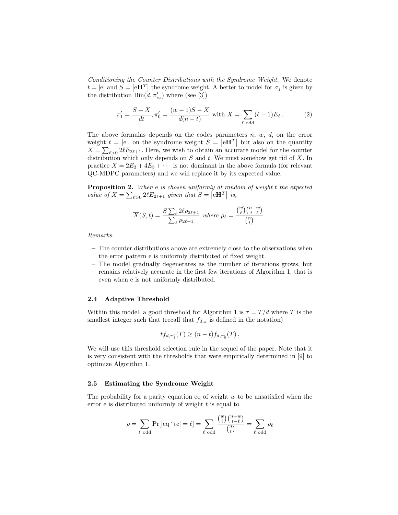Conditioning the Counter Distributions with the Syndrome Weight. We denote  $t = |e|$  and  $S = |eH^T|$  the syndrome weight. A better to model for  $\sigma_j$  is given by the distribution  $\text{Bin}(d, \pi'_{e_j})$  where (see [3])

$$
\pi_1' = \frac{S + X}{dt}, \pi_0' = \frac{(w - 1)S - X}{d(n - t)} \text{ with } X = \sum_{\ell \text{ odd}} (\ell - 1) E_{\ell}.
$$
 (2)

The above formulas depends on the codes parameters  $n, w, d$ , on the error weight  $t = |e|$ , on the syndrome weight  $S = |eH^T|$  but also on the quantity  $X = \sum_{\ell > 0} 2\ell E_{2\ell+1}$ . Here, we wish to obtain an accurate model for the counter distribution which only depends on  $S$  and  $t$ . We must somehow get rid of  $X$ . In practice  $X = 2E_3 + 4E_5 + \cdots$  is not dominant in the above formula (for relevant QC-MDPC parameters) and we will replace it by its expected value.

Proposition 2. When e is chosen uniformly at random of weight t the expected value of  $X = \sum_{\ell > 0} 2\ell E_{2\ell+1}$  given that  $S = |eH^T|$  is,

$$
\overline{X}(S,t) = \frac{S \sum_{\ell} 2\ell \rho_{2\ell+1}}{\sum_{\ell} \rho_{2\ell+1}} \text{ where } \rho_{\ell} = \frac{\binom{w}{\ell} \binom{n-w}{t-\ell}}{\binom{n}{t}}.
$$

## Remarks.

- The counter distributions above are extremely close to the observations when the error pattern e is uniformly distributed of fixed weight.
- The model gradually degenerates as the number of iterations grows, but remains relatively accurate in the first few iterations of Algorithm 1, that is even when e is not uniformly distributed.

## 2.4 Adaptive Threshold

Within this model, a good threshold for Algorithm 1 is  $\tau = T/d$  where T is the smallest integer such that (recall that  $f_{d,\pi}$  is defined in the notation)

$$
tf_{d,\pi'_1}(T) \ge (n-t)f_{d,\pi'_0}(T) .
$$

We will use this threshold selection rule in the sequel of the paper. Note that it is very consistent with the thresholds that were empirically determined in [9] to optimize Algorithm 1.

## 2.5 Estimating the Syndrome Weight

The probability for a parity equation eq of weight  $w$  to be unsatisfied when the error e is distributed uniformly of weight  $t$  is equal to

$$
\bar{\rho} = \sum_{\ell \text{ odd}} \Pr[|\text{eq} \cap \text{e}| = \ell] = \sum_{\ell \text{ odd}} \frac{\binom{w}{\ell} \binom{n-w}{t-\ell}}{\binom{n}{t}} = \sum_{\ell \text{ odd}} \rho_{\ell}
$$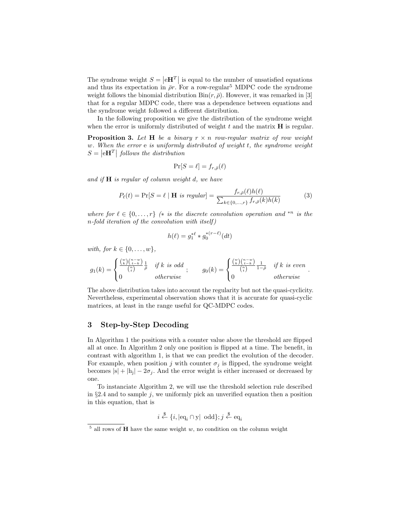The syndrome weight  $S = |eH^T|$  is equal to the number of unsatisfied equations and thus its expectation in  $\bar{\rho}r$ . For a row-regular<sup>5</sup> MDPC code the syndrome weight follows the binomial distribution  $Bin(r, \bar{\rho})$ . However, it was remarked in [3] that for a regular MDPC code, there was a dependence between equations and the syndrome weight followed a different distribution.

In the following proposition we give the distribution of the syndrome weight when the error is uniformly distributed of weight  $t$  and the matrix  $\bf{H}$  is regular.

**Proposition 3.** Let **H** be a binary  $r \times n$  row-regular matrix of row weight w. When the error  $e$  is uniformly distributed of weight t, the syndrome weight  $S = |e\mathbf{H}^T|$  follows the distribution

$$
\Pr[S = \ell] = f_{r,\bar{\rho}}(\ell)
$$

and if  $H$  is regular of column weight d, we have

$$
P_{\ell}(t) = \Pr[S = \ell \mid \mathbf{H} \text{ is regular}] = \frac{f_{r,\bar{\rho}}(\ell)h(\ell)}{\sum_{k \in \{0, \ldots, r\}} f_{r,\bar{\rho}}(k)h(k)} \tag{3}
$$

where for  $\ell \in \{0, \ldots, r\}$  (\* is the discrete convolution operation and  $\ell^{n}$  is the  $n$ -fold iteration of the convolution with itself)

$$
h(\ell) = g_1^{*\ell} * g_0^{*(r-\ell)}(dt)
$$

with, for  $k \in \{0, \ldots, w\},\$ 

$$
g_1(k) = \begin{cases} \frac{\binom{w}{k}\binom{n-w}{t-k}}{\binom{n}{t}} \frac{1}{\rho} & \text{if } k \text{ is odd} \\ 0 & \text{otherwise} \end{cases}; \qquad g_0(k) = \begin{cases} \frac{\binom{w}{k}\binom{n-w}{t-k}}{\binom{n}{t}} \frac{1}{1-\rho} & \text{if } k \text{ is even} \\ 0 & \text{otherwise} \end{cases}.
$$

The above distribution takes into account the regularity but not the quasi-cyclicity. Nevertheless, experimental observation shows that it is accurate for quasi-cyclic matrices, at least in the range useful for QC-MDPC codes.

## 3 Step-by-Step Decoding

In Algorithm 1 the positions with a counter value above the threshold are flipped all at once. In Algorithm 2 only one position is flipped at a time. The benefit, in contrast with algorithm 1, is that we can predict the evolution of the decoder. For example, when position j with counter  $\sigma_j$  is flipped, the syndrome weight becomes  $|s| + |h_j| - 2\sigma_j$ . And the error weight is either increased or decreased by one.

To instanciate Algorithm 2, we will use the threshold selection rule described in §2.4 and to sample  $j$ , we uniformly pick an unverified equation then a position in this equation, that is

$$
i \stackrel{\$}{\leftarrow} \{i, |\mathrm{eq}_i \cap \mathrm{y}| \textrm{ odd}\}; j \stackrel{\$}{\leftarrow} \mathrm{eq}_i
$$

 $5$  all rows of **H** have the same weight w, no condition on the column weight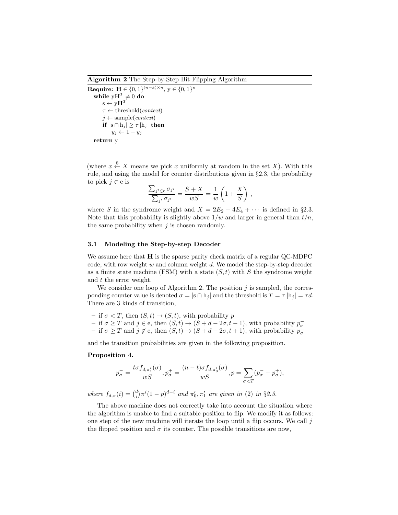Algorithm 2 The Step-by-Step Bit Flipping Algorithm

```
Require: \mathbf{H} \in \{0, 1\}^{(n-k)\times n}, y \in \{0, 1\}^nwhile \mathrm{yH}^T\neq 0 do
\mathrm{s} \leftarrow \mathrm{y}\mathbf{H}^T\tau \leftarrow \text{threshold}(context)j \leftarrow sample(context)
if |s \cap h_i| \geq \tau |h_i| then
      y_j \leftarrow 1 - y_jreturn y
```
(where  $x \stackrel{\$}{\leftarrow} X$  means we pick x uniformly at random in the set X). With this rule, and using the model for counter distributions given in §2.3, the probability to pick  $j \in e$  is

$$
\frac{\sum_{j'\in e}\sigma_{j'}}{\sum_{j'}\sigma_{j'}}=\frac{S+X}{wS}=\frac{1}{w}\left(1+\frac{X}{S}\right)\,,
$$

where S in the syndrome weight and  $X = 2E_2 + 4E_4 + \cdots$  is defined in §2.3. Note that this probability is slightly above  $1/w$  and larger in general than  $t/n$ , the same probability when  $j$  is chosen randomly.

## 3.1 Modeling the Step-by-step Decoder

We assume here that **H** is the sparse parity check matrix of a regular QC-MDPC code, with row weight  $w$  and column weight  $d$ . We model the step-by-step decoder as a finite state machine (FSM) with a state  $(S, t)$  with S the syndrome weight and t the error weight.

We consider one loop of Algorithm 2. The position  $j$  is sampled, the corresponding counter value is denoted  $\sigma = |\mathbf{s} \cap \mathbf{h}_i|$  and the threshold is  $T = \tau |\mathbf{h}_i| = \tau d$ . There are 3 kinds of transition,

- if  $\sigma < T$ , then  $(S, t) \rightarrow (S, t)$ , with probability p
- $-$  if  $σ ≥ T$  and  $j ∈ ε$ , then  $(S, t) → (S + d 2σ, t 1)$ , with probability  $p_{σ}^-$
- if  $σ ≥ T$  and  $j \notin e$ , then  $(S, t) → (S + d 2σ, t + 1)$ , with probability  $p^+_{σ}$

and the transition probabilities are given in the following proposition.

#### Proposition 4.

$$
p_{\sigma}^- = \frac{t \sigma f_{d,\pi'_1}(\sigma)}{wS}, p_{\sigma}^+ = \frac{(n-t) \sigma f_{d,\pi'_0}(\sigma)}{wS}, p = \sum_{\sigma < T} (p_{\sigma}^- + p_{\sigma}^+),
$$

where  $f_{d,\pi}(i) = {d \choose i} \pi^i (1-p)^{d-i}$  and  $\pi'_0, \pi'_1$  are given in (2) in §2.3.

The above machine does not correctly take into account the situation where the algorithm is unable to find a suitable position to flip. We modify it as follows: one step of the new machine will iterate the loop until a flip occurs. We call  $j$ the flipped position and  $\sigma$  its counter. The possible transitions are now,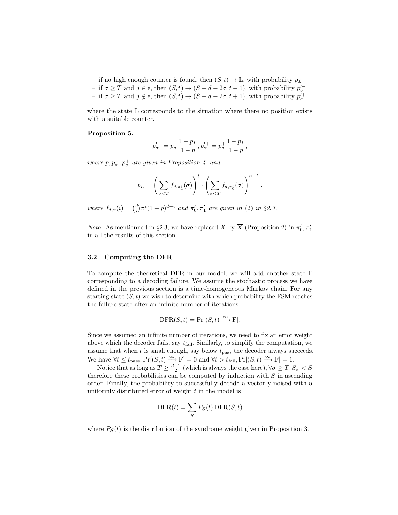- if no high enough counter is found, then  $(S, t) \to L$ , with probability  $p<sub>L</sub>$
- $-$  if  $σ ≥ T$  and  $j ∈ ε$ , then  $(S, t) → (S + d 2σ, t 1)$ , with probability  $p'_{σ}$
- if  $σ ≥ T$  and  $j \notin e$ , then  $(S, t) → (S + d 2σ, t + 1)$ , with probability  $p'_{σ}$ <sup>+</sup>

where the state L corresponds to the situation where there no position exists with a suitable counter.

#### Proposition 5.

$$
p_{\sigma}'^{-} = p_{\sigma}^{-} \frac{1 - p_L}{1 - p}, p_{\sigma}'^{+} = p_{\sigma}^{+} \frac{1 - p_L}{1 - p},
$$

where  $p, p_{\sigma}^-, p_{\sigma}^+$  are given in Proposition 4, and

$$
p_L = \left(\sum_{\sigma < T} f_{d,\pi'_1}(\sigma)\right)^t \cdot \left(\sum_{\sigma < T} f_{d,\pi'_0}(\sigma)\right)^{n-t},
$$

where  $f_{d,\pi}(i) = {d \choose i} \pi^i (1-p)^{d-i}$  and  $\pi'_0, \pi'_1$  are given in (2) in §2.3.

*Note.* As mentionned in §2.3, we have replaced X by  $\overline{X}$  (Proposition 2) in  $\pi'_0$ ,  $\pi'_1$ in all the results of this section.

### 3.2 Computing the DFR

To compute the theoretical DFR in our model, we will add another state F corresponding to a decoding failure. We assume the stochastic process we have defined in the previous section is a time-homogeneous Markov chain. For any starting state  $(S, t)$  we wish to determine with which probability the FSM reaches the failure state after an infinite number of iterations:

$$
\text{DFR}(S, t) = \Pr[(S, t) \xrightarrow{\infty} F].
$$

Since we assumed an infinite number of iterations, we need to fix an error weight above which the decoder fails, say  $t_{fail}$ . Similarly, to simplify the computation, we assume that when  $t$  is small enough, say below  $t_{\text{pass}}$  the decoder always succeeds. We have  $\forall t \leq t_{\text{pass}}, \Pr[(S, t) \stackrel{\infty}{\longrightarrow} F] = 0$  and  $\forall t > t_{\text{fail}}, \Pr[(S, t) \stackrel{\infty}{\longrightarrow} F] = 1$ .

Notice that as long as  $T \geq \frac{d+1}{2}$  (which is always the case here),  $\forall \sigma \geq T, S_{\sigma} < S$ therefore these probabilities can be computed by induction with  $S$  in ascending order. Finally, the probability to successfully decode a vector y noised with a uniformly distributed error of weight  $t$  in the model is

$$
\text{DFR}(t) = \sum_{S} P_S(t) \,\text{DFR}(S, t)
$$

where  $P<sub>S</sub>(t)$  is the distribution of the syndrome weight given in Proposition 3.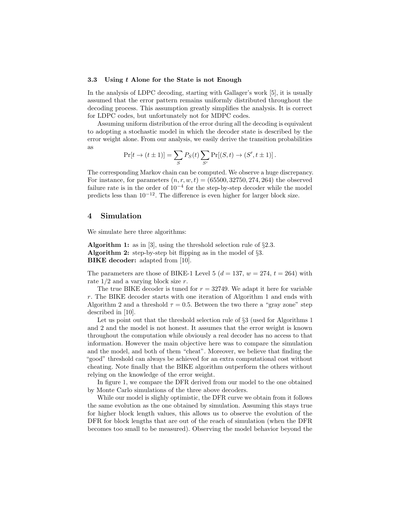#### 3.3 Using t Alone for the State is not Enough

In the analysis of LDPC decoding, starting with Gallager's work [5], it is usually assumed that the error pattern remains uniformly distributed throughout the decoding process. This assumption greatly simplifies the analysis. It is correct for LDPC codes, but unfortunately not for MDPC codes.

Assuming uniform distribution of the error during all the decoding is equivalent to adopting a stochastic model in which the decoder state is described by the error weight alone. From our analysis, we easily derive the transition probabilities as

$$
Pr[t \to (t \pm 1)] = \sum_{S} P_S(t) \sum_{S'} Pr[(S, t) \to (S', t \pm 1)].
$$

The corresponding Markov chain can be computed. We observe a huge discrepancy. For instance, for parameters  $(n, r, w, t) = (65500, 32750, 274, 264)$  the observed failure rate is in the order of  $10^{-4}$  for the step-by-step decoder while the model predicts less than  $10^{-12}$ . The difference is even higher for larger block size.

## 4 Simulation

We simulate here three algorithms:

**Algorithm 1:** as in [3], using the threshold selection rule of  $\S 2.3$ . Algorithm 2: step-by-step bit flipping as in the model of  $\S 3$ . BIKE decoder: adapted from [10].

The parameters are those of BIKE-1 Level 5 ( $d = 137$ ,  $w = 274$ ,  $t = 264$ ) with rate  $1/2$  and a varying block size r.

The true BIKE decoder is tuned for  $r = 32749$ . We adapt it here for variable r. The BIKE decoder starts with one iteration of Algorithm 1 and ends with Algorithm 2 and a threshold  $\tau = 0.5$ . Between the two there a "gray zone" step described in [10].

Let us point out that the threshold selection rule of  $\S3$  (used for Algorithms 1 and 2 and the model is not honest. It assumes that the error weight is known throughout the computation while obviously a real decoder has no access to that information. However the main objective here was to compare the simulation and the model, and both of them "cheat". Moreover, we believe that finding the "good" threshold can always be achieved for an extra computational cost without cheating. Note finally that the BIKE algorithm outperform the others without relying on the knowledge of the error weight.

In figure 1, we compare the DFR derived from our model to the one obtained by Monte Carlo simulations of the three above decoders.

While our model is slighly optimistic, the DFR curve we obtain from it follows the same evolution as the one obtained by simulation. Assuming this stays true for higher block length values, this allows us to observe the evolution of the DFR for block lengths that are out of the reach of simulation (when the DFR becomes too small to be measured). Observing the model behavior beyond the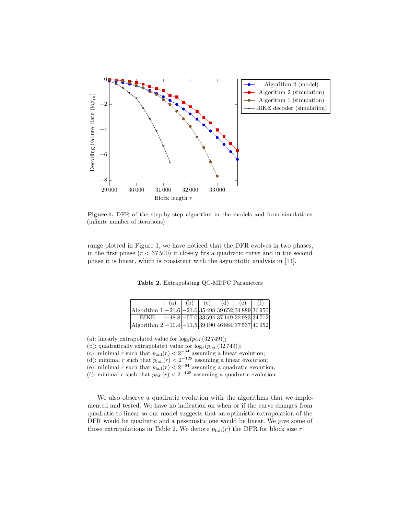

Figure 1. DFR of the step-by-step algorithm in the models and from simulations (infinite number of iterations)

range plotted in Figure 1, we have noticed that the DFR evolves in two phases, in the first phase  $(r < 37500)$  it closely fits a quadratic curve and in the second phase it is linear, which is consistent with the asymptotic analysis in [11].

Table 2. Extrapolating QC-MDPC Parameters

|                                                    | (a) | (b) | (c) | (d) | (e) |                                                |
|----------------------------------------------------|-----|-----|-----|-----|-----|------------------------------------------------|
| Algorithm $1 -21.6 -21.6 35498 39652 34889 36950 $ |     |     |     |     |     |                                                |
| <b>BIKE</b>                                        |     |     |     |     |     | $-48.8$   $-57.0$  33 594 37 149 32 983 34 712 |
| Algorithm $2 -10.4 -11.5 39190 46884 37537 40952 $ |     |     |     |     |     |                                                |

(a): linearly extrapolated value for  $log_2(p_{fail}(32749));$ 

(b): quadratically extrapolated value for  $log_2(p_{fail}(32749));$ 

(c): minimal r such that  $p_{\text{fail}}(r) < 2^{-64}$  assuming a linear evolution;

(d): minimal r such that  $p_{\text{fail}}(r) < 2^{-128}$  assuming a linear evolution;

(e): minimal r such that  $p_{\text{fail}}(r) < 2^{-64}$  assuming a quadratic evolution;

(f): minimal r such that  $p_{\text{fail}}(r) < 2^{-128}$  assuming a quadratic evolution

We also observe a quadratic evolution with the algorithms that we implemented and tested. We have no indication on when or if the curve changes from quadratic to linear so our model suggests that an optimistic extrapolation of the DFR would be quadratic and a pessimistic one would be linear. We give some of those extrapolations in Table 2. We denote  $p_{fail}(r)$  the DFR for block size r.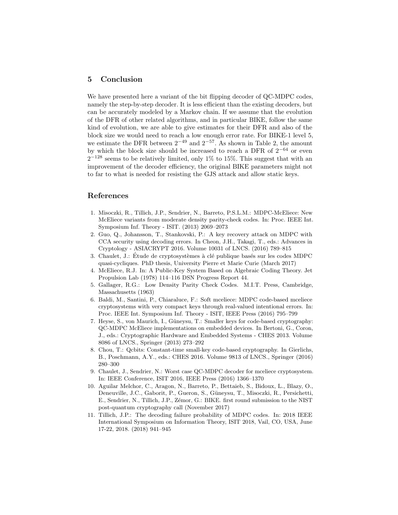## 5 Conclusion

We have presented here a variant of the bit flipping decoder of QC-MDPC codes, namely the step-by-step decoder. It is less efficient than the existing decoders, but can be accurately modeled by a Markov chain. If we assume that the evolution of the DFR of other related algorithms, and in particular BIKE, follow the same kind of evolution, we are able to give estimates for their DFR and also of the block size we would need to reach a low enough error rate. For BIKE-1 level 5, we estimate the DFR between  $2^{-49}$  and  $2^{-57}$ . As shown in Table 2, the amount by which the block size should be increased to reach a DFR of  $2^{-64}$  or even  $2^{-128}$  seems to be relatively limited, only 1% to 15%. This suggest that with an improvement of the decoder efficiency, the original BIKE parameters might not to far to what is needed for resisting the GJS attack and allow static keys.

## References

- 1. Misoczki, R., Tillich, J.P., Sendrier, N., Barreto, P.S.L.M.: MDPC-McEliece: New McEliece variants from moderate density parity-check codes. In: Proc. IEEE Int. Symposium Inf. Theory - ISIT. (2013) 2069–2073
- 2. Guo, Q., Johansson, T., Stankovski, P.: A key recovery attack on MDPC with CCA security using decoding errors. In Cheon, J.H., Takagi, T., eds.: Advances in Cryptology - ASIACRYPT 2016. Volume 10031 of LNCS. (2016) 789–815
- 3. Chaulet, J.: Étude de cryptosystèmes à clé publique basés sur les codes MDPC quasi-cycliques. PhD thesis, University Pierre et Marie Curie (March 2017)
- 4. McEliece, R.J. In: A Public-Key System Based on Algebraic Coding Theory. Jet Propulsion Lab (1978) 114–116 DSN Progress Report 44.
- 5. Gallager, R.G.: Low Density Parity Check Codes. M.I.T. Press, Cambridge, Massachusetts (1963)
- 6. Baldi, M., Santini, P., Chiaraluce, F.: Soft mceliece: MDPC code-based mceliece cryptosystems with very compact keys through real-valued intentional errors. In: Proc. IEEE Int. Symposium Inf. Theory - ISIT, IEEE Press (2016) 795–799
- 7. Heyse, S., von Maurich, I., Güneysu, T.: Smaller keys for code-based cryptography: QC-MDPC McEliece implementations on embedded devices. In Bertoni, G., Coron, J., eds.: Cryptographic Hardware and Embedded Systems - CHES 2013. Volume 8086 of LNCS., Springer (2013) 273–292
- 8. Chou, T.: Qcbits: Constant-time small-key code-based cryptography. In Gierlichs, B., Poschmann, A.Y., eds.: CHES 2016. Volume 9813 of LNCS., Springer (2016) 280–300
- 9. Chaulet, J., Sendrier, N.: Worst case QC-MDPC decoder for mceliece cryptosystem. In: IEEE Conference, ISIT 2016, IEEE Press (2016) 1366–1370
- 10. Aguilar Melchor, C., Aragon, N., Barreto, P., Bettaieb, S., Bidoux, L., Blazy, O., Deneuville, J.C., Gaborit, P., Gueron, S., G¨uneysu, T., Misoczki, R., Persichetti, E., Sendrier, N., Tillich, J.P., Zémor, G.: BIKE. first round submission to the NIST post-quantum cryptography call (November 2017)
- 11. Tillich, J.P.: The decoding failure probability of MDPC codes. In: 2018 IEEE International Symposium on Information Theory, ISIT 2018, Vail, CO, USA, June 17-22, 2018. (2018) 941–945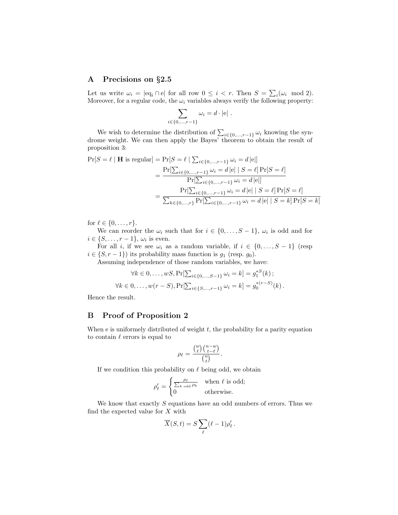# A Precisions on §2.5

Let us write  $\omega_i = |eq_i \cap e|$  for all row  $0 \leq i < r$ . Then  $S = \sum_i (\omega_i \mod 2)$ . Moreover, for a regular code, the  $\omega_i$  variables always verify the following property:

$$
\sum_{i\in\{0,\ldots,r-1\}}\omega_i=d\cdot|\mathbf{e}|.
$$

We wish to determine the distribution of  $\sum_{i\in\{0,\ldots,r-1\}}\omega_i$  knowing the syndrome weight. We can then apply the Bayes' theorem to obtain the result of proposition 3:

$$
\Pr[S = \ell \mid \mathbf{H} \text{ is regular}] = \Pr[S = \ell \mid \sum_{i \in \{0, ..., r-1\}} \omega_i = d \mid e \mid]
$$
\n
$$
= \frac{\Pr[\sum_{i \in \{0, ..., r-1\}} \omega_i = d \mid e \mid S = \ell] \Pr[S = \ell]}{\Pr[\sum_{i \in \{0, ..., r-1\}} \omega_i = d \mid e \mid]}
$$
\n
$$
= \frac{\Pr[\sum_{i \in \{0, ..., r-1\}} \omega_i = d \mid e \mid S = \ell] \Pr[S = \ell]}{\sum_{k \in \{0, ..., r\}} \Pr[\sum_{i \in \{0, ..., r-1\}} \omega_i = d \mid e \mid S = k] \Pr[S = k]}
$$

for  $\ell \in \{0, \ldots, r\}.$ 

We can reorder the  $\omega_i$  such that for  $i \in \{0, \ldots, S-1\}$ ,  $\omega_i$  is odd and for  $i \in \{S, \ldots, r-1\}, \omega_i$  is even.

For all i, if we see  $\omega_i$  as a random variable, if  $i \in \{0, ..., S-1\}$  (resp  $i \in \{S, r-1\}$  its probability mass function is  $g_1$  (resp.  $g_0$ ).

Assuming independence of those random variables, we have:

$$
\forall k \in 0, \dots, wS, \Pr[\sum_{i \in \{0, \dots, S-1\}} \omega_i = k] = g_1^{*S}(k);
$$
  

$$
\forall k \in 0, \dots, w(r - S), \Pr[\sum_{i \in \{S, \dots, r-1\}} \omega_i = k] = g_0^{*(r - S)}(k).
$$

Hence the result.

## B Proof of Proposition 2

When  $e$  is uniformely distributed of weight  $t$ , the probability for a parity equation to contain  $\ell$  errors is equal to

$$
\rho_{\ell} = \frac{\binom{w}{\ell}\binom{n-w}{t-\ell}}{\binom{n}{t}}.
$$

If we condition this probability on  $\ell$  being odd, we obtain

$$
\rho'_{\ell} = \begin{cases} \frac{\rho_{\ell}}{\sum_{k \text{ odd}} \rho_k} & \text{when } \ell \text{ is odd;} \\ 0 & \text{otherwise.} \end{cases}
$$

We know that exactly  $S$  equations have an odd numbers of errors. Thus we find the expected value for  $X$  with

$$
\overline{X}(S,t) = S \sum_{\ell} (\ell - 1) \rho'_{\ell}.
$$